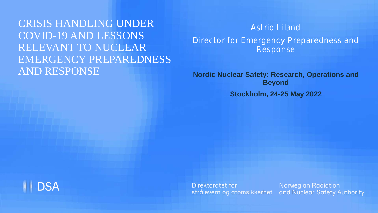CRISIS HANDLING UNDER COVID-19 AND LESSONS RELEVANT TO NUCLEAR EMERGENCY PREPAREDNESS AND RESPONSE

Astrid Liland

Director for Emergency Preparedness and Response

**Nordic Nuclear Safety: Research, Operations and Beyond**

**Stockholm, 24-25 May 2022**



Direktoratet for strålevern og atomsikkerhet

**Norwegian Radiation** and Nuclear Safety Authority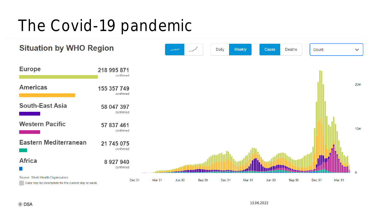#### The Covid-19 pandemic

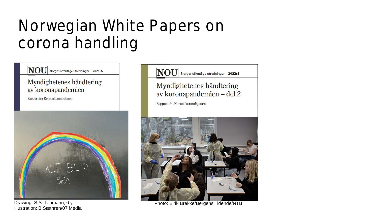### Norwegian White Papers on corona handling

#### **NOU** Norges offentlige utredninger 2021:6

#### Myndighetenes håndtering av koronapandemien

Rapport fra Koronakommisjonen



Illustration: B Sæthren/07 Media

#### **NOU** Norges offentlige utredninger 2022:5

#### Myndighetenes håndtering av koronapandemien – del 2

Rapport fra Koronakommisjonen



Drawing: S.S. Tenmann, 6 y Photo: Eirik Brekke/Bergens Tidende/NTB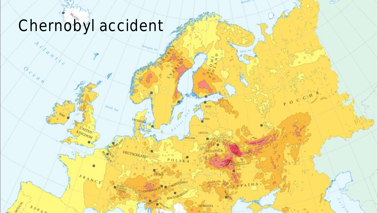# Chernobyl accident

 $\overline{a}$ 

13.06.2022

LIETUVA

ROMANIA

 $POLSK$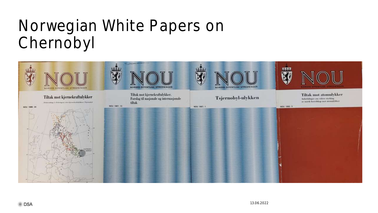### Norwegian White Papers on Chernobyl

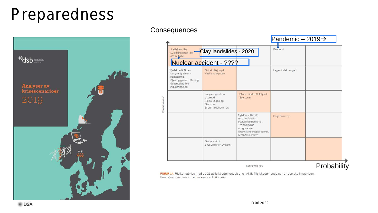#### Preparedness



#### **Consequences**

|              |                                                                                                                           |                                                                                       |                                                                                                                                                | Pandemic $-2019 \rightarrow$ |            |
|--------------|---------------------------------------------------------------------------------------------------------------------------|---------------------------------------------------------------------------------------|------------------------------------------------------------------------------------------------------------------------------------------------|------------------------------|------------|
|              | Jordskjelv i by.<br>Kvikkleireskred i by.<br>Atomulykke.                                                                  | Clay landslides - 2020                                                                |                                                                                                                                                | Pandemi                      |            |
|              | Nuclear accident - ????                                                                                                   |                                                                                       |                                                                                                                                                |                              |            |
|              | Fiellskred i Åknes.<br>Langvarig strøm-<br>rasjonering.<br>Olje- og gassutblåsning.<br>Gassutslipp fra<br>industrianlegg. | Skipskollisjon på<br>Vestlandskysten.                                                 |                                                                                                                                                | Legemiddelmangel.            |            |
| Konsekvenser |                                                                                                                           | Langvarig vulkan-<br>utbrudd.<br>Flom i Lågen og<br>Glomma.<br>Brann i oljehavn i by. | Storm i indre Oslofjord.<br>Solstorm.                                                                                                          |                              |            |
|              |                                                                                                                           |                                                                                       | Sykdomsutbrudd<br>med antibiotika-<br>resistente bakterier.<br>Tre samtidige<br>skogbranner.<br>Brann i undersjøisk tunnel.<br>Matbåren smitte | Regnflom i by                |            |
|              |                                                                                                                           | Global svikt i<br>produksjonen av korn.                                               |                                                                                                                                                |                              |            |
|              | Sannsynlighet                                                                                                             |                                                                                       |                                                                                                                                                |                              | Probabilit |

FIGUR 14. Risikomatrise med de 21 utilsiktede hendelsene i AKS. Tilsiktede hendelser er utelatt i matrisen. Hendelser i samme rute har omtrent lik risiko.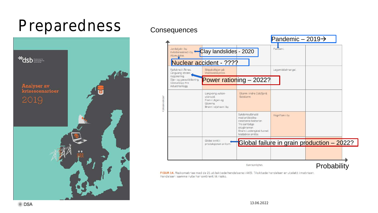#### Preparedness



#### **Consequences**



FIGUR 14. Risikomatrise med de 21 utilsiktede hendelsene i AKS. Tilsiktede hendelser er utelatt i matrisen. Hendelser i samme rute har omtrent lik risiko.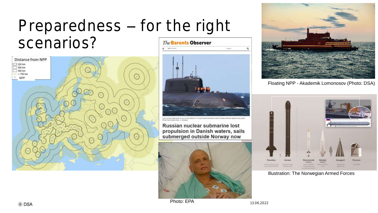#### Preparedness - for the right scenarios? **The Barents Observer** ÷





Russian nuclear submarine lost propulsion in Danish waters, sails submerged outside Norway now





Floating NPP - Akademik Lomonosov (Photo: DSA)



Illustration: The Norwegian Armed Forces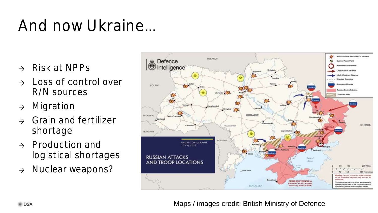### And now Ukraine

- $\rightarrow$  Risk at NPPs
- → Loss of control over R/N sources
- → Migration
- → Grain and fertilizer shortage
- $\rightarrow$  Production and logistical shortages
- → Nuclear weapons?



Maps / images credit: British Ministry of Defence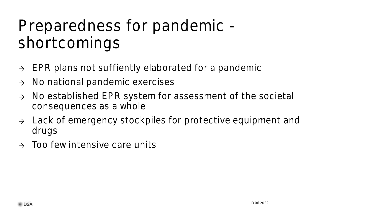### Preparedness for pandemic shortcomings

- $\rightarrow$  EPR plans not suffiently elaborated for a pandemic
- → No national pandemic exercises
- → No established EPR system for assessment of the societal consequences as a whole
- → Lack of emergency stockpiles for protective equipment and drugs
- Too few intensive care units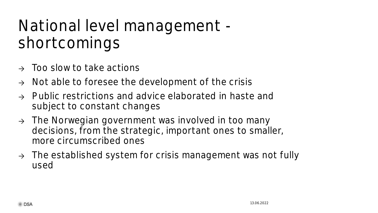### National level management shortcomings

- Too slow to take actions
- $\rightarrow$  Not able to foresee the development of the crisis
- Public restrictions and advice elaborated in haste and subject to constant changes
- $\rightarrow$  The Norwegian government was involved in too many decisions, from the strategic, important ones to smaller, more circumscribed ones
- → The established system for crisis management was not fully used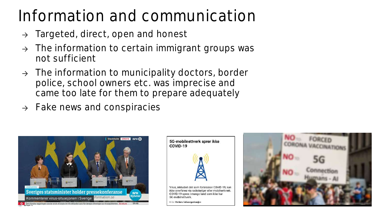### Information and communication

- $\rightarrow$  Targeted, direct, open and honest
- $\rightarrow$  The information to certain immigrant groups was not sufficient
- $\rightarrow$  The information to municipality doctors, border police, school owners etc. was imprecise and came too late for them to prepare adequately
- $\rightarrow$  Fake news and conspiracies





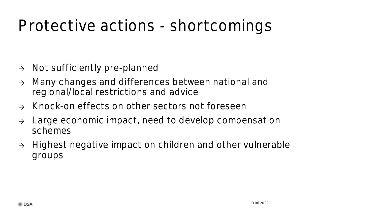### Protective actions - shortcomings

- → Not sufficiently pre-planned
- → Many changes and differences between national and regional/local restrictions and advice
- → Knock-on effects on other sectors not foreseen
- $\rightarrow$  Large economic impact, need to develop compensation schemes
- → Highest negative impact on children and other vulnerable groups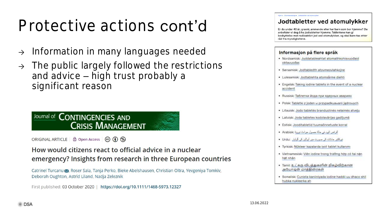### Protective actions cont'd

- → Information in many languages needed
- $\rightarrow$  The public largely followed the restrictions and advice – high trust probably a significant reason

#### Journal of CONTINGENCIES AND **CRISIS MANAGEMENT**

ORIGINAL ARTICLE **a** Open Access **c** (i) S

How would citizens react to official advice in a nuclear emergency? Insights from research in three European countries

Catrinel Turcanu X, Roser Sala, Tanja Perko, Bieke Abelshausen, Christian Oltra, Yevgeniya Tomkiv, Deborah Oughton, Astrid Liland, Nadja Zeleznik

First published: 03 October 2020 | https://doi.org/10.1111/1468-5973.12327

#### Jodtabletter ved atomulykker

Er du under 40 år, gravid, ammende eller har barn som bor hiemme? Da anbefaler vi deg å ha jodtabletter hjemme. Tablettene kan gi beskyttelse mot radioaktivt jod ved atomulykker, og skal bare tas etter råd fra myndighetene.

#### Informasjon på flere språk

- · Nordsamisk: Juddatableahtat atomalihkohisvuodaid oktavuodas
- · Sørsamisk: Jodtabledth atovmeovlahkojne
- · Lulesamisk: Jodtablehta atomsårme diehti
- Engelsk: Taking iodine tablets in the event of a nuclear accident
- Russisk: Таблетки йода при ядерных авариях
- · Polsk: Tabletki z joden w przypadkuawarii jądrowych
- · Litauisk: Jodo tabletės branduolinės nelaimės atveju
- · Latvisk: Joda tabletes kodolavārijas gadījumā
- · Estisk: Jooditabletid tuumaõnnetuste korral
- أقراص اليود في حالة حصول حوائث تووية Arabisk:
- فیرکلئیر حائلت کی سورت میں اپرٹین کی گراپان :Urdu •
- · Tyrkisk: Nükleer kazalarda iyot tablet kullanımı
- · Vietnamesisk: Viên iodine trong trường hợp có tai năn hat nhân
- Tamil: உட்கரு விபத்துகளின் நிகழ்விற்கான அயோடின் மாத்திரைகள்
- · Somalisk: Cunista kaniiniyada iodine haddii uu dhaco shil hubka nukleerka ah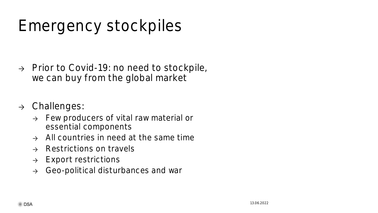# Emergency stockpiles

- → Prior to Covid-19: no need to stockpile, we can buy from the global market
- → Challenges:
	- → Few producers of vital raw material or essential components
	- $\rightarrow$  All countries in need at the same time
	- → Restrictions on travels
	- → Export restrictions
	- → Geo-political disturbances and war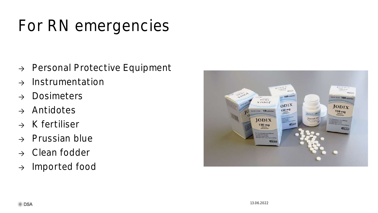# For RN emergencies

- → Personal Protective Equipment
- → Instrumentation
- → Dosimeters
- → Antidotes
- → K fertiliser
- → Prussian blue
- → Clean fodder
- → Imported food

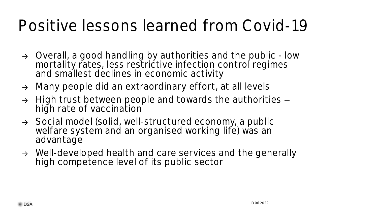### Positive lessons learned from Covid-19

- → Overall, a good handling by authorities and the public low mortality rates, less restrictive infection control regimes and smallest declines in economic activity
- → Many people did an extraordinary effort, at all levels
- $\rightarrow$  High trust between people and towards the authorities  $$ high rate of vaccination
- → Social model (solid, well-structured economy, a public welfare system and an organised working life) was an advantage
- → Well-developed health and care services and the generally high competence level of its public sector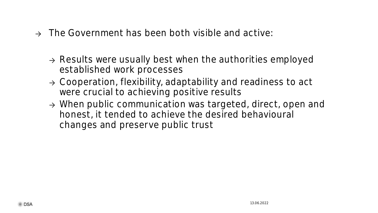- $\rightarrow$  The Government has been both visible and active:
	- → Results were usually best when the authorities employed established work processes
	- → Cooperation, flexibility, adaptability and readiness to act were crucial to achieving positive results
	- → When public communication was targeted, direct, open and honest, it tended to achieve the desired behavioural changes and preserve public trust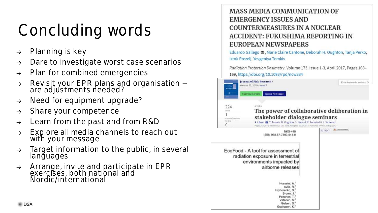# Concluding words

- $\rightarrow$  Planning is key
- → Dare to investigate worst case scenarios
- → Plan for combined emergencies
- → Revisit your EPR plans and organisation are adjustments needed?
- → Need for equipment upgrade?
- $\rightarrow$  Share your competence
- → Learn from the past and from R&D
- → Explore all media channels to reach out with your message
- → Target information to the public, in several languages
- → Arrange, invite and participate in EPR exercises, both national and Nordic/international

#### **MASS MEDIA COMMUNICATION OF EMERGENCY ISSUES AND COUNTERMEASURES IN A NUCLEAR ACCIDENT: FUKUSHIMA REPORTING IN EUROPEAN NEWSPAPERS**

Eduardo Gallego  $\blacksquare$ , Marie Claire Cantone, Deborah H. Oughton, Tanja Perko, Iztok Prezelj, Yevgeniya Tomkiv

Radiation Protection Dosimetry, Volume 173, Issue 1-3, April 2017, Pages 163-169, https://doi.org/10.1093/rpd/ncw334